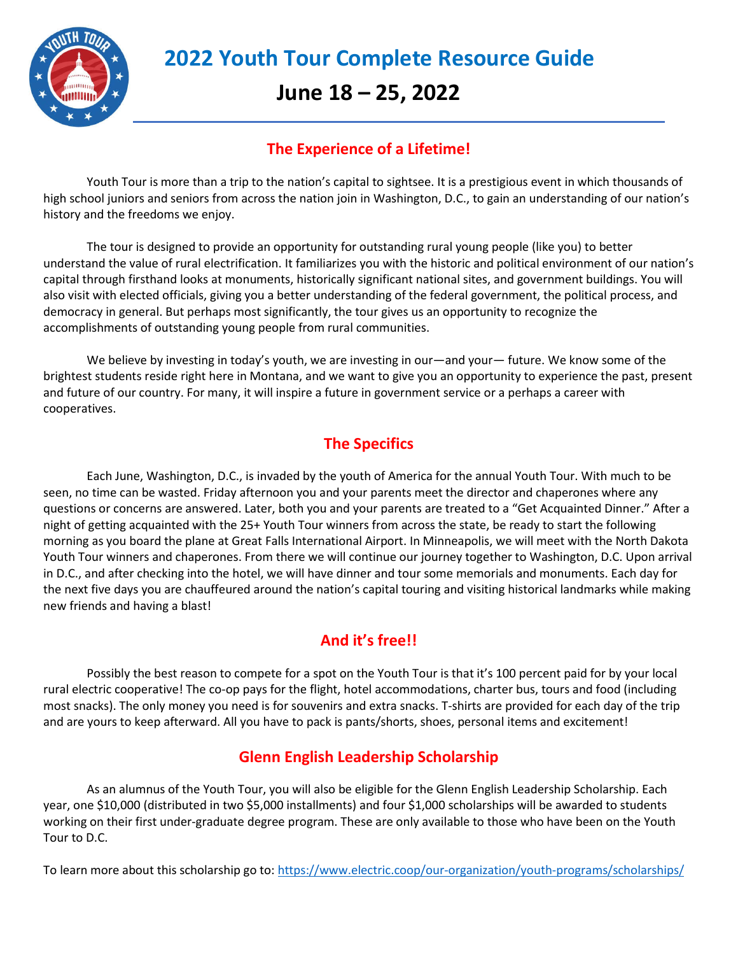

# **June 18 – 25, 2022**

# **The Experience of a Lifetime!**

Youth Tour is more than a trip to the nation's capital to sightsee. It is a prestigious event in which thousands of high school juniors and seniors from across the nation join in Washington, D.C., to gain an understanding of our nation's history and the freedoms we enjoy.

The tour is designed to provide an opportunity for outstanding rural young people (like you) to better understand the value of rural electrification. It familiarizes you with the historic and political environment of our nation's capital through firsthand looks at monuments, historically significant national sites, and government buildings. You will also visit with elected officials, giving you a better understanding of the federal government, the political process, and democracy in general. But perhaps most significantly, the tour gives us an opportunity to recognize the accomplishments of outstanding young people from rural communities.

We believe by investing in today's youth, we are investing in our—and your— future. We know some of the brightest students reside right here in Montana, and we want to give you an opportunity to experience the past, present and future of our country. For many, it will inspire a future in government service or a perhaps a career with cooperatives.

# **The Specifics**

Each June, Washington, D.C., is invaded by the youth of America for the annual Youth Tour. With much to be seen, no time can be wasted. Friday afternoon you and your parents meet the director and chaperones where any questions or concerns are answered. Later, both you and your parents are treated to a "Get Acquainted Dinner." After a night of getting acquainted with the 25+ Youth Tour winners from across the state, be ready to start the following morning as you board the plane at Great Falls International Airport. In Minneapolis, we will meet with the North Dakota Youth Tour winners and chaperones. From there we will continue our journey together to Washington, D.C. Upon arrival in D.C., and after checking into the hotel, we will have dinner and tour some memorials and monuments. Each day for the next five days you are chauffeured around the nation's capital touring and visiting historical landmarks while making new friends and having a blast!

# **And it's free!!**

Possibly the best reason to compete for a spot on the Youth Tour is that it's 100 percent paid for by your local rural electric cooperative! The co-op pays for the flight, hotel accommodations, charter bus, tours and food (including most snacks). The only money you need is for souvenirs and extra snacks. T-shirts are provided for each day of the trip and are yours to keep afterward. All you have to pack is pants/shorts, shoes, personal items and excitement!

# **Glenn English Leadership Scholarship**

As an alumnus of the Youth Tour, you will also be eligible for the Glenn English Leadership Scholarship. Each year, one \$10,000 (distributed in two \$5,000 installments) and four \$1,000 scholarships will be awarded to students working on their first under-graduate degree program. These are only available to those who have been on the Youth Tour to D.C.

To learn more about this scholarship go to: https://www.electric.coop/our-organization/youth-programs/scholarships/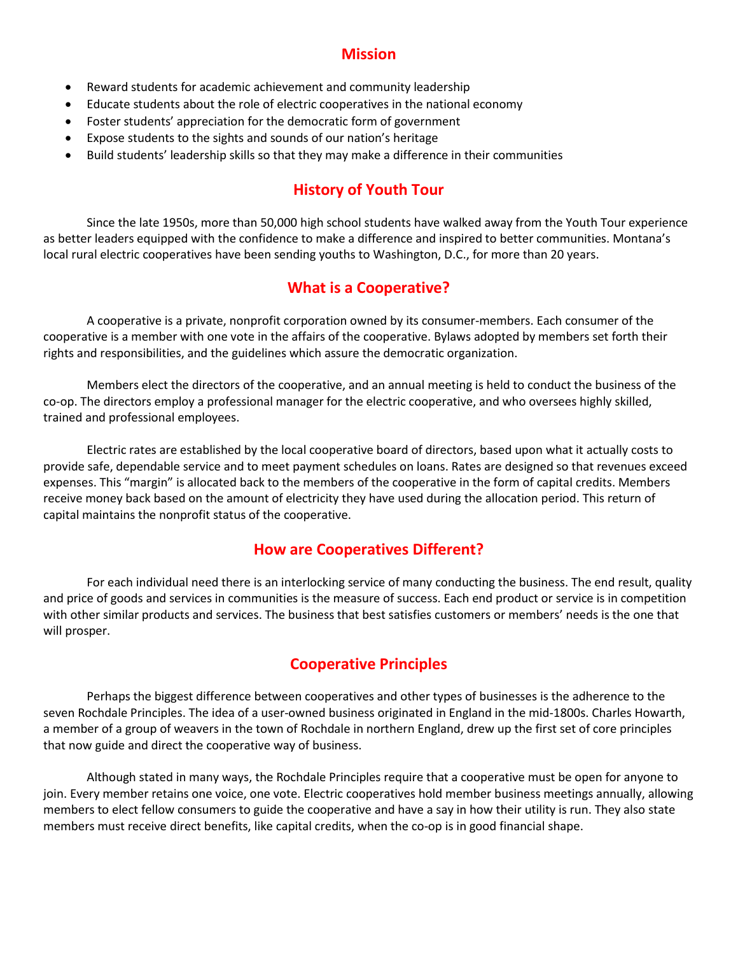### **Mission**

- Reward students for academic achievement and community leadership
- Educate students about the role of electric cooperatives in the national economy
- Foster students' appreciation for the democratic form of government
- Expose students to the sights and sounds of our nation's heritage
- Build students' leadership skills so that they may make a difference in their communities

# **History of Youth Tour**

Since the late 1950s, more than 50,000 high school students have walked away from the Youth Tour experience as better leaders equipped with the confidence to make a difference and inspired to better communities. Montana's local rural electric cooperatives have been sending youths to Washington, D.C., for more than 20 years.

# **What is a Cooperative?**

A cooperative is a private, nonprofit corporation owned by its consumer-members. Each consumer of the cooperative is a member with one vote in the affairs of the cooperative. Bylaws adopted by members set forth their rights and responsibilities, and the guidelines which assure the democratic organization.

Members elect the directors of the cooperative, and an annual meeting is held to conduct the business of the co-op. The directors employ a professional manager for the electric cooperative, and who oversees highly skilled, trained and professional employees.

Electric rates are established by the local cooperative board of directors, based upon what it actually costs to provide safe, dependable service and to meet payment schedules on loans. Rates are designed so that revenues exceed expenses. This "margin" is allocated back to the members of the cooperative in the form of capital credits. Members receive money back based on the amount of electricity they have used during the allocation period. This return of capital maintains the nonprofit status of the cooperative.

### **How are Cooperatives Different?**

For each individual need there is an interlocking service of many conducting the business. The end result, quality and price of goods and services in communities is the measure of success. Each end product or service is in competition with other similar products and services. The business that best satisfies customers or members' needs is the one that will prosper.

# **Cooperative Principles**

Perhaps the biggest difference between cooperatives and other types of businesses is the adherence to the seven Rochdale Principles. The idea of a user-owned business originated in England in the mid-1800s. Charles Howarth, a member of a group of weavers in the town of Rochdale in northern England, drew up the first set of core principles that now guide and direct the cooperative way of business.

Although stated in many ways, the Rochdale Principles require that a cooperative must be open for anyone to join. Every member retains one voice, one vote. Electric cooperatives hold member business meetings annually, allowing members to elect fellow consumers to guide the cooperative and have a say in how their utility is run. They also state members must receive direct benefits, like capital credits, when the co-op is in good financial shape.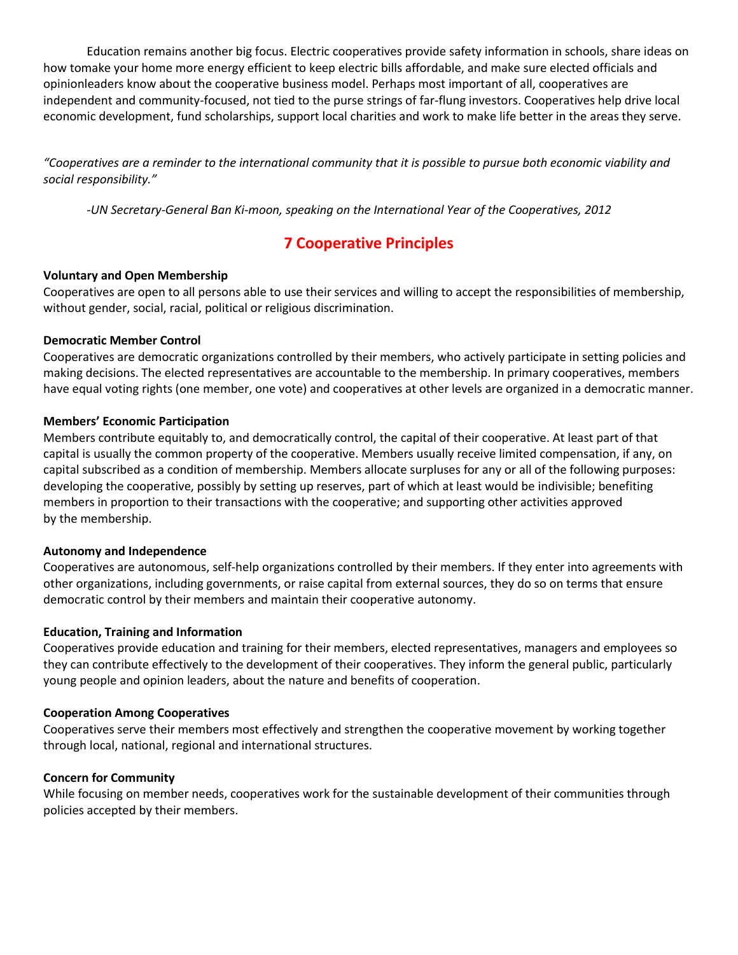Education remains another big focus. Electric cooperatives provide safety information in schools, share ideas on how tomake your home more energy efficient to keep electric bills affordable, and make sure elected officials and opinionleaders know about the cooperative business model. Perhaps most important of all, cooperatives are independent and community-focused, not tied to the purse strings of far-flung investors. Cooperatives help drive local economic development, fund scholarships, support local charities and work to make life better in the areas they serve.

*"Cooperatives are a reminder to the international community that it is possible to pursue both economic viability and social responsibility."*

*-UN Secretary-General Ban Ki-moon, speaking on the International Year of the Cooperatives, 2012*

### **7 Cooperative Principles**

### **Voluntary and Open Membership**

Cooperatives are open to all persons able to use their services and willing to accept the responsibilities of membership, without gender, social, racial, political or religious discrimination.

#### **Democratic Member Control**

Cooperatives are democratic organizations controlled by their members, who actively participate in setting policies and making decisions. The elected representatives are accountable to the membership. In primary cooperatives, members have equal voting rights (one member, one vote) and cooperatives at other levels are organized in a democratic manner.

#### **Members' Economic Participation**

Members contribute equitably to, and democratically control, the capital of their cooperative. At least part of that capital is usually the common property of the cooperative. Members usually receive limited compensation, if any, on capital subscribed as a condition of membership. Members allocate surpluses for any or all of the following purposes: developing the cooperative, possibly by setting up reserves, part of which at least would be indivisible; benefiting members in proportion to their transactions with the cooperative; and supporting other activities approved by the membership.

### **Autonomy and Independence**

Cooperatives are autonomous, self-help organizations controlled by their members. If they enter into agreements with other organizations, including governments, or raise capital from external sources, they do so on terms that ensure democratic control by their members and maintain their cooperative autonomy.

### **Education, Training and Information**

Cooperatives provide education and training for their members, elected representatives, managers and employees so they can contribute effectively to the development of their cooperatives. They inform the general public, particularly young people and opinion leaders, about the nature and benefits of cooperation.

### **Cooperation Among Cooperatives**

Cooperatives serve their members most effectively and strengthen the cooperative movement by working together through local, national, regional and international structures.

### **Concern for Community**

While focusing on member needs, cooperatives work for the sustainable development of their communities through policies accepted by their members.